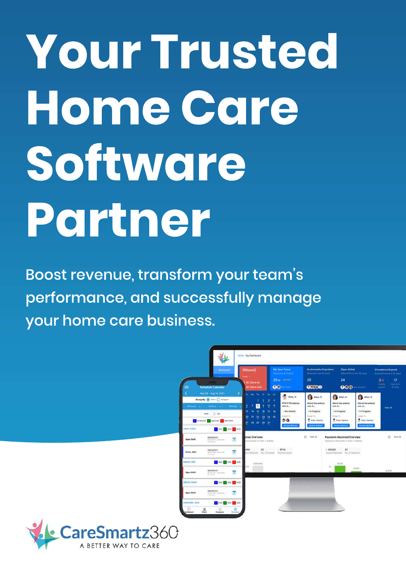# **YourTrusted HomeCare Software Partner**

Boost revenue, transform your team's performance, and successfully manage your home care business.



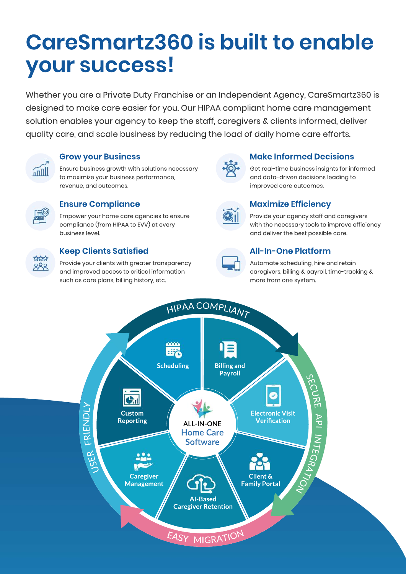# **CareSmartz360 is built to enable yoursuccess!**

Whether you are a Private Duty Franchise or an Independent Agency, CareSmartz360 is designed to make care easier for you. Our HIPAA compliant home care management solution enables your agency to keep the staff, caregivers & clients informed, deliver quality care, and scale business by reducing the load of daily home care efforts.



#### **Grow your Business**

Ensure business growth with solutions necessary to maximize your business performance, revenue, and outcomes.



#### **Ensure Compliance**

Empower your home care agencies to ensure compliance (from HIPAA to EVV) at every business level.



#### **KeepClientsSatisfied**

Provide your clients with greater transparency and improved access to critical information such as care plans, billing history, etc.



#### **Make Informed Decisions**

Get real-time business insights for informed and data-driven decisions leading to improved care outcomes.



#### **MaximizeEfficiency**

Provide your agency staff and caregivers with the necessary tools to improve efficiency and deliver the best possible care.



#### **All-In-One Platform**

Automate scheduling, hire and retain caregivers, billing & payroll, time-tracking & more from one system.

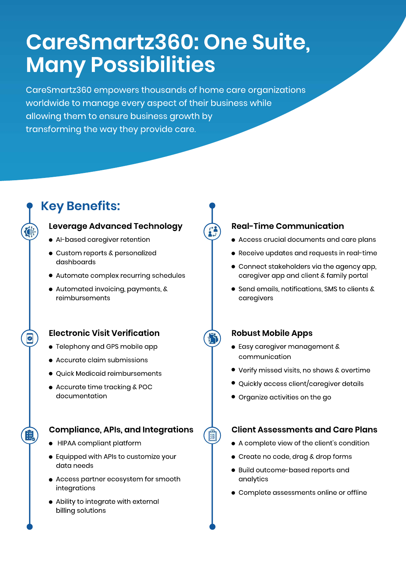# **CareSmartz360:OneSuite, ManyPossibilities**

CareSmartz360 empowers thousands of home care organizations worldwide to manage every aspect of their business while allowing them to ensure business growth by transforming the way they provide care.

## **KeyBenefits:**

#### **Leverage Advanced Technology**

- Al-based caregiver retention
- Custom reports & personalized dashboards
- Automate complex recurring schedules
- Automated invoicing, payments, & reimbursements

#### **Electronic Visit Verification**

- Telephony and GPS mobile app
- $\bullet$  Accurate claim submissions
- Quick Medicaid reimbursements
- Accurate time tracking & POC documentation

#### **Compliance,APIs,andIntegrations**

- $\bullet$  HIPAA compliant platform
- **•** Equipped with APIs to customize your data needs
- Access partner ecosystem for smooth integrations
- Ability to integrate with external billing solutions

#### **Real-TimeCommunication**

- $\bullet$  Access crucial documents and care plans
- Receive updates and requests in real-time
- $\bullet$  Connect stakeholders via the agency app, caregiver app and client & family portal
- Send emails, notifications, SMS to clients & caregivers

#### **Robust Mobile Apps**

- Easy caregiver management & communication
- **•** Verify missed visits, no shows & overtime
- Quickly access client/caregiver details
- Organize activities on the go

偉

#### **Client Assessments and Care Plans**

- A complete view of the client's condition
- Create no code, drag & drop forms
- Build outcome-based reports and analytics
- Complete assessments online or offline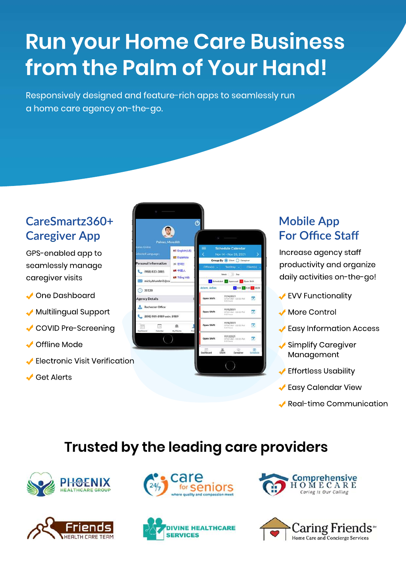# **Run your Home Care Business from the Palm of Your Hand!**

Responsively designed and feature-rich apps to seamlessly run a home care agency on-the-go.

## **CareSmartz360+ Caregiver App**

GPS-enabled app to seamlesslymanage caregiver visits

- ◆ One Dashboard
- $\sqrt{}$  Multilingual Support
- COVID Pre-Screening
- $\sqrt{\phantom{a}}$  Offline Mode
- Electronic Visit Verification
- **↓ Get Alerts**

| <b>Palmer, Meredith</b>                       |                                    | S.                                                                                               |                                                     |                       |
|-----------------------------------------------|------------------------------------|--------------------------------------------------------------------------------------------------|-----------------------------------------------------|-----------------------|
| tatus Online<br><b>Selected Language:</b>     | <b>Ell English(US)</b><br>Española | <b>Schedule Calendar</b><br>≕<br>У<br>Nov 14 - Nov 20, 2021<br>Group By (@) Client (C) Caregiver |                                                     |                       |
| <b>Personal Information</b>                   | 50 한국인<br>11 中国人                   |                                                                                                  | Office(s) Territory Client(s)                       |                       |
| (988) 833-3885<br>micky.bhambri1@ca           | <b>Ell</b> Tiếng Việt              | Week Day<br>Scheduled Approved O Open Shift                                                      |                                                     |                       |
| 20120                                         |                                    | Adam, Adlas                                                                                      |                                                     | 8 0.00 A 0.00 0 56.00 |
| <b>Agency Details</b>                         |                                    | Open Shift                                                                                       | 11/14/2021<br>07:00 AM - 03:00 INA<br>R.I.O. Foxers | z                     |
| Rochester Office<br>(898) 989-8989 extn. 8989 |                                    | Open Shift                                                                                       | 11/15/2021<br>07:00 AM - 03:00 PM<br>3000 hours     | ø                     |
| 信<br>and in<br><b>Dashboard</b><br>Calendar:  | 墩<br>My Clients<br><b>Prid</b>     | Open Shift                                                                                       | 11/16/2021<br>07/00 AM - 03/00 PM<br>9.00 hours     | z                     |
|                                               |                                    | Open Shift                                                                                       | 11/17/2021<br>87:50 AM - 03:00 PM<br>B.Olt Foxals   | ø                     |
|                                               |                                    | Dashboard                                                                                        | œ.<br>Client<br>Caregiver                           | œ<br>Schedule         |

## **MobileApp For Office Staff**

Increase agency staff productivity and organize daily activities on-the-go!

- **EVV Functionality**
- More Control
- ◆ Easy Information Access
- Simplify Caregiver Management
- $\sqrt{\ }$  Effortless Usability
- $\sqrt{\ }$ Easy Calendar View
- $\blacktriangleright$  Real-time Communication

## **Trusted by the leading care providers**